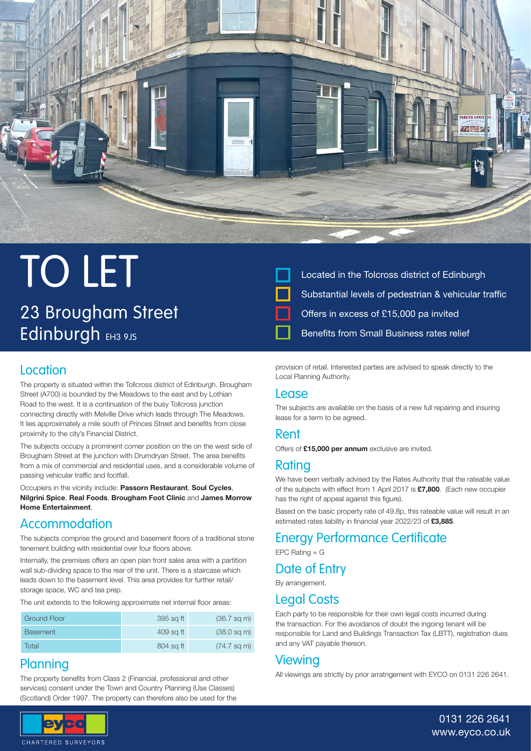

## TO LET 23 Brougham Street Edinburgh EH3 9JS



### Located in the Tolcross district of Edinburgh Substantial levels of pedestrian & vehicular traffic Offers in excess of £15,000 pa invited Benefits from Small Business rates relief

#### **Location**

The property is situated within the Tollcross district of Edinburgh. Brougham Street (A700) is bounded by the Meadows to the east and by Lothian Road to the west. It is a continuation of the busy Tollcross junction connecting directly with Melville Drive which leads through The Meadows. It lies approximately a mile south of Princes Street and benefits from close proximity to the city's Financial District.

The subjects occupy a prominent corner position on the on the west side of Brougham Street at the junction with Drumdryan Street. The area benefits from a mix of commercial and residential uses, and a considerable volume of passing vehicular traffic and footfall.

Occupiers in the vicinity include: Passorn Restaurant, Soul Cycles, Nilgrini Spice, Real Foods, Brougham Foot Clinic and James Morrow Home Entertainment.

#### Accommodation

The subjects comprise the ground and basement floors of a traditional stone tenement building with residential over four floors above.

Internally, the premises offers an open plan front sales area with a partition wall sub-dividing space to the rear of the unit. There is a staircase which leads down to the basement level. This area provides for further retail/ storage space, WC and tea prep.

The unit extends to the following approximate net internal floor areas:

| Ground Floor    | 395 sq ft | $(36.7 \text{ sq m})$ |
|-----------------|-----------|-----------------------|
| <b>Basement</b> | 409 sq ft | $(38.0 \text{ sq m})$ |
| Total           | 804 sq ft | $(74.7 \text{ sq m})$ |

#### **Planning**

The property benefits from Class 2 (Financial, professional and other services) consent under the Town and Country Planning (Use Classes) (Scotland) Order 1997. The property can therefore also be used for the



#### Lease

The subjects are available on the basis of a new full repairing and insuring lease for a term to be agreed.

#### Rent

Offers of £15,000 per annum exclusive are invited.

#### Rating

We have been verbally advised by the Rates Authority that the rateable value of the subjects with effect from 1 April 2017 is £7,800. (Each new occupier has the right of appeal against this figure).

Based on the basic property rate of 49.8p, this rateable value will result in an estimated rates liability in financial year 2022/23 of £3,885.

#### Energy Performance Certificate

 $EPC$  Rating  $= G$ 

#### Date of Entry

By arrangement.

#### Legal Costs

Each party to be responsible for their own legal costs incurred during the transaction. For the avoidance of doubt the ingoing tenant will be responsible for Land and Buildings Transaction Tax (LBTT), registration dues and any VAT payable thereon.

#### Viewing

All viewings are strictly by prior arratngement with EYCO on 0131 226 2641.